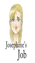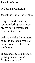# Josephine's Job

## by Jourdan Cameron

Josephine's job was simple.

Amy sat in the waiting room, twisting her greasy brown hair between her fingers. She'd been

waiting awhile for another baby- it had been whole a month since the last time she bore a

clone, and she was close to getting evicted, *again*. Business as usual.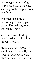"*Gonna get clone today, gonna get a clone ba-bay,* " she sang to the empty room, wondering

who was in charge of decorating the cold, grim space. The waiting room was mostly bare,

save the brown folding metal chairs that lined the off-white walls.

"*Give me a few dollars,* " she thought to herself, "*and I could fix this place up.* " She'd always had quite the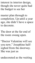interest in interior design, though she never quite had the budget to see her

master plan through to completion. Up until a year ago, she didn't have a space to decorate.

The door at the far end of the room swung open.

"Doctor Valentine will see you now, " Josephine halfsighed from the doorway. She was just as

undecorated as the waiting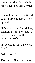room- her flat blonde hair fell to her shoulders, which were

covered by a stark white lab coat- it almost hurt to look upon it.

"It's about time," said Amy, springing from her seat. "I have to make rent this month. What's

up, Josie? Is that a new lab coat?"

"All is well."

The two walked down the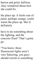barren and gritty hallway. Amy wondered about how she could fix

the place up. A fresh coat of paint, perhaps orange, could warm the place up. She'd definitely

have to do something about the lighting, and the concrete floor? That's gotta go.

"You know, these fluorescent lights aren't very flattering, you guys should switch to something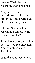warmer, " babbled Amy. Josephine didn't respond.

Amy felt a little underdressed in Josephine's presence; Amy's wrinkled blue blouse and jeans

felt insuf icient behind Josephine's simple white coat and scrubs."

Josie, has anybody ever told you that you're ambivalent? You're ambivalent." Josephine

paused, and turned to face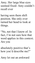Amy. Her large blue eyes seemed fixed- Amy couldn't recall ever

having seen them shift position. She only ever turned her head to look at things.

"No, not that I know of. In fact, I'm not sure how that word applies in this context. Are you

absolutely positive that's how you'd describe me?"

Amy let out an awkward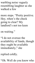warbling noise vaguely resembling laughter as she walked a few

more steps. "Pretty positive. Hey, when's the check going to clear? My landlord's not too keen

on waiting."

"I do not oversee the availability of funds, though they ought be available immediately, " she

replied coldly.

"Oh. Well do you know who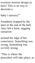oversees interior design in here? This is no way to decorate a

baby's nursery!"

Josephine stopped by the door at the end of the hall. Amy felt a faint, nagging sensation

around the edge of her conscience. Something was wrong. Something was *terribly* wrong.

"This is where the procedure will take place, as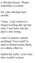it did previously. Please remember to return

for your checkup next month."

"Josie, I can't believe I forgot to bring this up last time I was here, but the door's the wrong

color! It doesn't match anything! You could've used a neutral matte black, or a shiny white to

match the walls- even *baby blue* would've been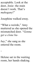acceptable. Look at the door, Josie- the stain doesn't work. That's *mahogany*!"

### Josephine walked away.

"What a weirdo, " Amy muttered as she opened the mismatched door. "*Gonna get a clone ba-*

*bay*, " she sang as she entered the room.

-

Helene sat in the waiting room, her hands shaking.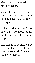## She barely convinced herself that she

wasn't too scared to run; she'd found too good a deal to be too scared to follow through.

Helene had gone too far to back out. Too good, too far, not too scared. She couldn't help but

feel less than comforted by the brutal sterility of the waiting room she'd spent the better part of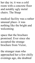her day in; it was a cold room with a concrete floor and notably ugly metal chairs. The Stuqe

medical facility was a rather unusual place- it was nothing like the bright and welcoming

space that the brochure promised. Ever since she accepted the strange brochure from Victor,

the stranger man who approached her a few chilly evenings ago, she doubted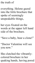#### the truth of

everything. Helene gazed into the little brochure that spoke of seemingly unspeakable things,

her eyes fixated on the words at the upper left hand side of the brochure.

"Save a baby, bear a clone!"

"Doctor Valentine will see you now."

She clutched the vibrantlycolored brochure in her quaking hands, having pored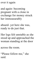over it again

and again- becoming pregnant with a clone in exchange for money struck her immeasurably

absurd- yet here she was, ready to do just that.

Her legs felt unstable as she stood up and approached the woman standing at the door

across the room.

"Please follow me, " she said.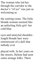The woman who led her through the corridor to the doctor's "of ice" was just as welcoming as

the waiting room. The little blonde woman seemed like an unfeeling little girl- her cold blue

eyes and unstyled shoulderlength blonde hair were reminiscent of a doll that nobody ever

played with. In her years on the streets, Helene had seen some strange folks. There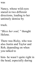was

Nancy, whose wild eyes stared in two different directions, leading to her untimely demise by

truck.

"*Bless her soul,* " thought Helene.

There was Ricky, who was also Justin and Taylor and Rob, depending on when you talked to

him- he wasn't quite right in the head, especially during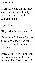the summer.

In all her years on the street, she'd never met a lonely doll. She mustered the courage to ask

a question.

"Hey, what's your name?"

"Josephine." She spoke just above a whisper, her gentle voice finding little haven in the once-

white walls of the long, dim hallway. She couldn't help but feel that Josephine had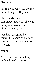# dismissed

her in some way- her apathy did nothing to allay her fear.

She was absolutely convinced that what she was doing was wrong, but nightmarishly, her

legs kept dragging her forward. In spite of the fact that her actions would cost a life, she

couldn't

"So, Josephine, how long before I need to come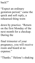#### back?"

"Expect an ordinary gestation period, " came the quick and soft reply, a rehearsed thing worn

down by practice. "Return on the first Monday of the next month for a checkup. During the

final trimester of your pregnancy, you will receive room and board at no expense."

"Thanks." Helene's shaking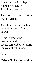hands and quaking legs found no solace in Josephine's words.

They were too cold to stop the shivering.

Josephine led Helene to a door at the end of the hallway.

"This is where the procedure will take place. Please remember to return for your checkup next

month."

Helene did her best to show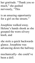## her gratitude. "Thank you so much, " she gushed nervously, "This

is an amazing opportunity for a girl on the streets."

Josephine walked away. Helene's hands shook as she grasped the worn silvery knob, and

she stole a quick backwards glance. Josephine was advancing down the hallway

mechanically- she could've been a doll.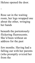## Helene opened the door.

-

Rose sat in the waiting room, her legs wrapped one about the other, wringing her hands

beneath the portentously flickering fluorescents. She'd been without an address for the past

few months. Having had a falling out with her parents (who promptly evicted her from the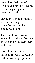warmth of their home), Rose found herself sleeping in a stranger's garden. It wasn't too bad

during the summer monthsa Rose sleeping in a flowerbed was, to her, somewhat poetic.

The trouble was winter. When the cold and frost and snow come with their teeth and claws,

roses don't tend to fare particularly well- especially if they're strange girls in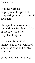# their early

twenties with no employment to speak of, trespassing in the gardens of strangers.

She spent her days doing funny things for funnier bits of money- she often recycled things in

exchange for a bit of money- she often wondered where the cans and bottles wound up

going- not that it mattered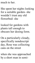much to her.

She spent her nights looking for a suitable garden- she wouldn't trust any old flowerbed- she

looked for gardens with plants tall enough to obscure her dozing form.

On a particularly cloudy, specifically nondescript day, Rose was collecting cans on the street

when she was approached by a short man in semi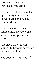formal clothing- he introduced himself as

Victor. He told her about an opportunity to make an honest living and help a couple whose

newborn was in danger. Reluctantly, she gave this strange, short person her trust.

And now, here she was, waiting to become surrogate mother to a clone.

The door at the far end of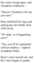the room swung open, and Josephine walked in.

"Doctor Valentine will see you now."

Rose unfurled her legs and sprung up, her hands slick with sweat.

"W-what- is it happening now?"

"Yes, you'll be implanted with an embryo, " replied Josephine flatly.

Rose's nose turned red, and her voice began to quake.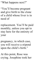"What happens next?"

"You'll become pregnant and give birth to the clone of a child whose liver is in need of

replacement. You'll be paid monthly, unless you opt to stay here for the entirety of your

pregnancy, in which case, you will receive a stipend upon the child's birth."

At this point, Rose was crying. Josephine took her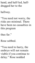hand, and half-led, halfdragged her to the

hallway.

"You need not worry, the risks are minimal. There have been no casualties in this program

thus far."

Rose sobbed.

"You need to hurry, the embryo will not remain viable if you continue to delay." Rose nodded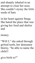and sharply inhaled in an attempt to clear her nose. She couldn't stymy the little seeds of hate

in her heart against Stuqe. She hated the place that was giving her food and shelter and

money.

"Will I, " she asked through gritted teeth, her demeanor thorny, "be able to name the child I

give birth to?"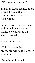"Whatever you want."

Trusting Stuqe seemed to be a mistake, one that she couldn't revoke or erase. Rose wiped

her eyes with her free hand, and though her view was fuzzy, she could see that she'd reached

a dead end- the door.

"This is where the procedure will take place. In a month-"

"Josephine, I hope it's not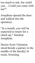too much to ask, but could you… Could you come with me?"

Josephine opened the door and walked into the operatory.

"In a month, you will be expected to return for a check up, " finished Josephine.

Doctor Scott Valentine stood beside a gurney in the middle of the harshly lit room, frowning.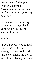"*How queer,* " thought Doctor Valentine.

"*Josephine has never led anybody into the operatory before.* "

He handed his quivering patient an orange plastic clipboard with several sheets of paper

attached.

"I don't expect you to read it all. I haven't," he shrugged. "Just look at the last sheet, check the box if you plan on living here, and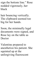sign the bottom line." Rose nodded vigorously, her black

hair bouncing vertically. The clipboard seemed too big for her hands.

Soon, the minimally legal documents were signed, and Rose lay on the table as Doctor

Valentine prepared to anesthetize his patient. She squinted up at the unforgiving fluorescent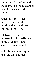lights and glanced around the room. She thought about how this place could pass for an

actual doctor's of iceunlike the rest of the building that she'd seen, this place was kept

relatively clean. The unmarred white walls were home to cabinets and shelves of instruments

and substances and syringes and tiny glass bottles.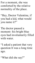For a moment, she was comforted by the relative normality of the place.

"Hey, Doctor Valentine, if you had a kid, what would you name it?"

The doctor paused a moment- his bright blue eyes had involuntarily filled with water.

"I asked a patient that very question It was a long time ago.

"What did she say?"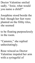Doctor Valentine smiled sadly. "Josie, what would you name a child?"

Josephine stood beside the bed- though her feet were planted on the filthy tiles, she seemed

to be floating purposelessly in the room.

"Cammie, " she replied unhesitatingly.

Rose winced as Doctor Valentine impaled her arm with a syringeful of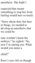#### anesthetic. She hadn't

expected that meant something to stop her from feeling would hurt so much.

"Sorry about that, but here at Stuqe, we needed to develop an anesthetic that we could be

sure wouldn't harm the embryo, " he sighed. "So, now I'm asking you. What would you name a

child?"

Rose's eyes felt as though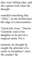they were falling shut, and she replied with what she thought

sounded something like "Allie" , as she drifted past the edge of consciousness.

"Good job, Josie, " Doctor Valentine said to his daughter as he put on a surgical mask. For a

moment, he thought he caught the glimmer of a smile in Josephine's face. He couldn't be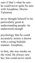sure if that's what he sawhe could never quite be sure with Josephine. Doctor Valentine

never thought himself to be particularly good at understanding people- he understood enough

psychology that he could accurately mimic a doctor with a caring bedside manner. Josephine,

to him, she was smoke on the wind. He always saw her, but could never catch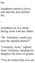her.

-

Josephine turned to leave, and shut the door behind her.

Josephine sat in a small dining room with her father.

"Dr. Valentine, would you pass the spinach please?"

"Certainly, Josie, " replied Scott Valentine, handing his daughter the bowl of greens.

"You do realize that you can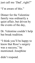just call me 'Dad' , right?"

"I'm aware of this."

Dinner for the Valentine family was ordinarily a quiet affair, but driven by the events of the day,

Dr. Valentine couldn't help but break tradition.

"I think you'll be happy to know that Rose's surgery was a success, " he mentioned. Josephine

didn't respond.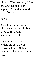"In fact, " he went on, "I bet she appreciated your support. Would you kindly pass the roast

beef?"

Josephine acted out in obedience, her bright blue eyes betraying no semblance of either

loyalty or love. Dr. Valentine gave up on conversation with his daughter. She was nothing like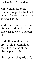the late Mrs. Valentine.

Mrs. Valentine. Scott couldn't forget his first and only wife- his sole mate. He showed her the

world, and she showed him his heart, a thing he'd long since abandoned in pursuit of his

work. He gazed into the brown thing resembling roast beef on the cheap plastic plate before

him, reminiscing. His wife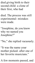died giving birth to their second child- a clone of their first, who had

died. The process was still experimental- mistakes were made.

"Josephine, do you know why we named you Josephine?"

"No, " she replied vacuously.

"It was the name your mother picked- after one of her favorite musicians."

A few moments passed, and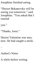Josephine finished eating.

"Doctor Bokanovsky will be seeing you tomorrow, " said Josephine. "You asked that I remind

you."

–

#### "Thanks, Josie."

Doctor Valentine was sure, now. He had caught a smile.

#### Author's Notes

A while before writing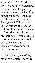*Josephine's Job*, I had written a book, *Me Squared*. It stars Hildan Hegennerry, whose parents have had him cloned since they thought he'd be growing up sick. In *Me Squared*, Hildan has turned out healthy, and he and his clone get the chance to form their own little brotherhood- if you'd like to learn more about my book, you can check out mesquaredbook.com for more information.

In *Me Squared*, one of my favorite characters to write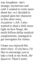was Josephine- she's strange, mysterious and cold. I wanted to write more about her, so I decided to expand upon her character in this short story, *Josephine's Job*. I also wanted to shed a little more light on how Stuqe, the multi-billion dollar medical conglomerate, managed to get surrogates for clones.

I hope you enjoyed this short story- if you have, I'd like to encourage you to take a look at my book, *Me Squared*. There's more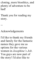cloning, more bioethics, and plenty of adventure to be had!

Thank you for reading my story.

# Acknowledgements

--

I'd like to thank my friends and family for the fantastic names they gave me as options for the various women in *Josephine's Job*. You guys are now part of the story! I'd also like to